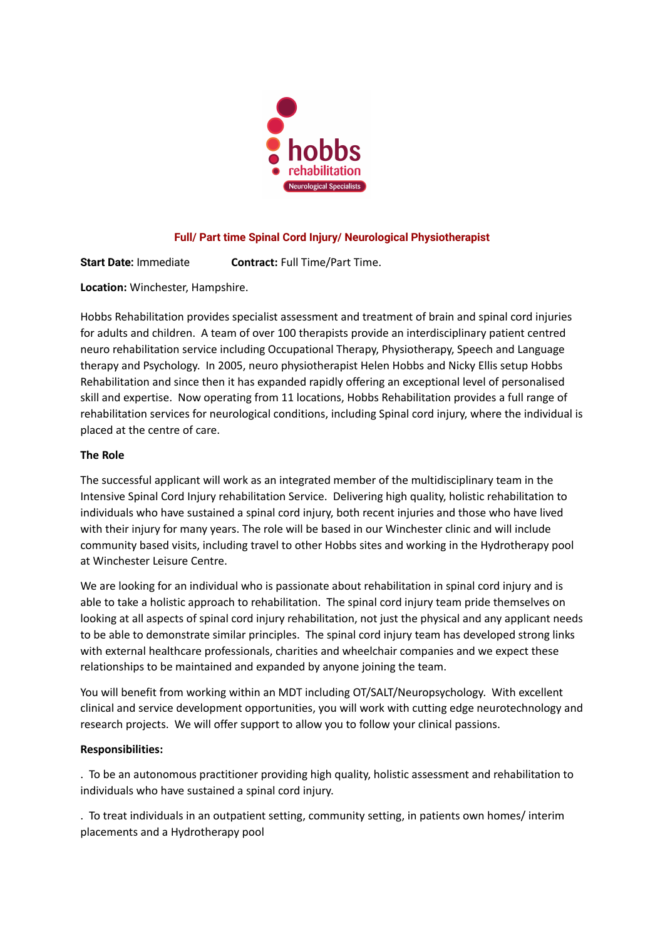

# **Full/ Part time Spinal Cord Injury/ Neurological Physiotherapist**

**Start Date:** Immediate **Contract:** Full Time/Part Time.

**Location:** Winchester, Hampshire.

Hobbs Rehabilitation provides specialist assessment and treatment of brain and spinal cord injuries for adults and children. A team of over 100 therapists provide an interdisciplinary patient centred neuro rehabilitation service including Occupational Therapy, Physiotherapy, Speech and Language therapy and Psychology. In 2005, neuro physiotherapist Helen Hobbs and Nicky Ellis setup Hobbs Rehabilitation and since then it has expanded rapidly offering an exceptional level of personalised skill and expertise. Now operating from 11 locations, Hobbs Rehabilitation provides a full range of rehabilitation services for neurological conditions, including Spinal cord injury, where the individual is placed at the centre of care.

# **The Role**

The successful applicant will work as an integrated member of the multidisciplinary team in the Intensive Spinal Cord Injury rehabilitation Service. Delivering high quality, holistic rehabilitation to individuals who have sustained a spinal cord injury, both recent injuries and those who have lived with their injury for many years. The role will be based in our Winchester clinic and will include community based visits, including travel to other Hobbs sites and working in the Hydrotherapy pool at Winchester Leisure Centre.

We are looking for an individual who is passionate about rehabilitation in spinal cord injury and is able to take a holistic approach to rehabilitation. The spinal cord injury team pride themselves on looking at all aspects of spinal cord injury rehabilitation, not just the physical and any applicant needs to be able to demonstrate similar principles. The spinal cord injury team has developed strong links with external healthcare professionals, charities and wheelchair companies and we expect these relationships to be maintained and expanded by anyone joining the team.

You will benefit from working within an MDT including OT/SALT/Neuropsychology. With excellent clinical and service development opportunities, you will work with cutting edge neurotechnology and research projects. We will offer support to allow you to follow your clinical passions.

### **Responsibilities:**

. To be an autonomous practitioner providing high quality, holistic assessment and rehabilitation to individuals who have sustained a spinal cord injury.

. To treat individuals in an outpatient setting, community setting, in patients own homes/ interim placements and a Hydrotherapy pool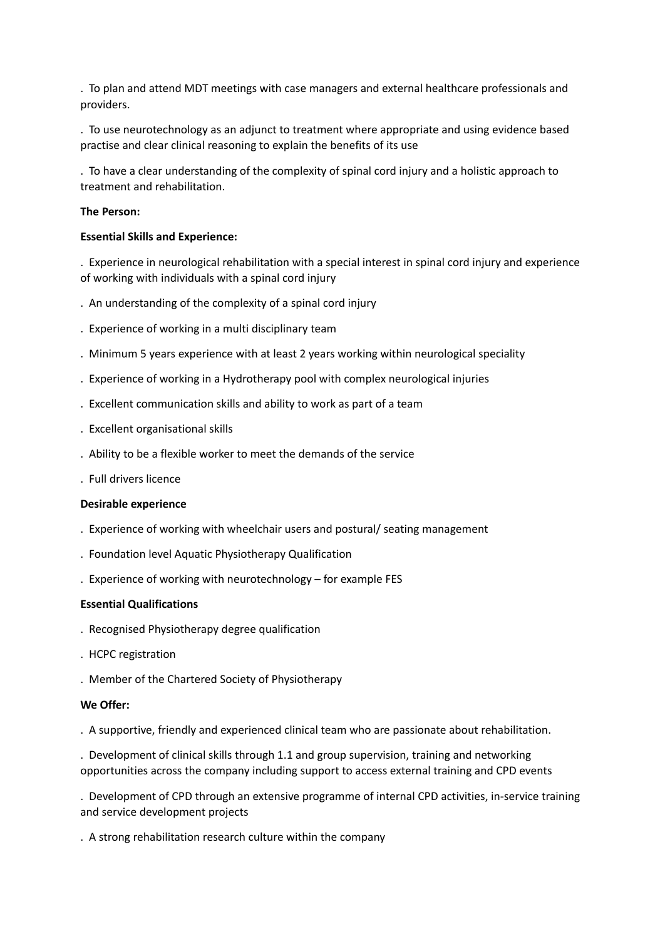. To plan and attend MDT meetings with case managers and external healthcare professionals and providers.

. To use neurotechnology as an adjunct to treatment where appropriate and using evidence based practise and clear clinical reasoning to explain the benefits of its use

. To have a clear understanding of the complexity of spinal cord injury and a holistic approach to treatment and rehabilitation.

### **The Person:**

#### **Essential Skills and Experience:**

. Experience in neurological rehabilitation with a special interest in spinal cord injury and experience of working with individuals with a spinal cord injury

- . An understanding of the complexity of a spinal cord injury
- . Experience of working in a multi disciplinary team
- . Minimum 5 years experience with at least 2 years working within neurological speciality
- . Experience of working in a Hydrotherapy pool with complex neurological injuries
- . Excellent communication skills and ability to work as part of a team
- . Excellent organisational skills
- . Ability to be a flexible worker to meet the demands of the service
- . Full drivers licence

#### **Desirable experience**

- . Experience of working with wheelchair users and postural/ seating management
- . Foundation level Aquatic Physiotherapy Qualification
- . Experience of working with neurotechnology for example FES

### **Essential Qualifications**

- . Recognised Physiotherapy degree qualification
- . HCPC registration
- . Member of the Chartered Society of Physiotherapy

### **We Offer:**

. A supportive, friendly and experienced clinical team who are passionate about rehabilitation.

. Development of clinical skills through 1.1 and group supervision, training and networking opportunities across the company including support to access external training and CPD events

. Development of CPD through an extensive programme of internal CPD activities, in-service training and service development projects

. A strong rehabilitation research culture within the company